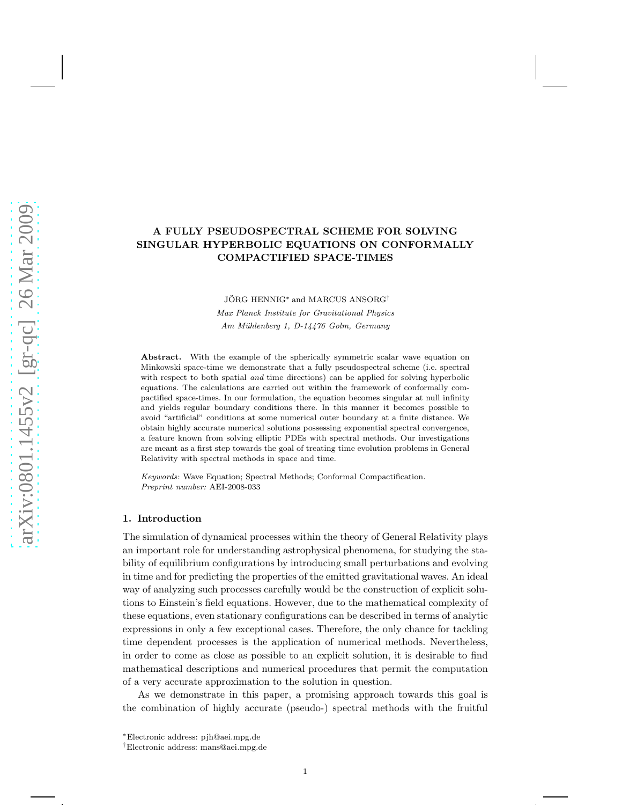# A FULLY PSEUDOSPECTRAL SCHEME FOR SOLVING SINGULAR HYPERBOLIC EQUATIONS ON CONFORMALLY COMPACTIFIED SPACE-TIMES

JÖRG HENNIG<sup>\*</sup> and MARCUS ANSORG<sup>†</sup> Max Planck Institute for Gravitational Physics Am Mühlenberg 1, D-14476 Golm, Germany

Abstract. With the example of the spherically symmetric scalar wave equation on Minkowski space-time we demonstrate that a fully pseudospectral scheme (i.e. spectral with respect to both spatial *and* time directions) can be applied for solving hyperbolic equations. The calculations are carried out within the framework of conformally compactified space-times. In our formulation, the equation becomes singular at null infinity and yields regular boundary conditions there. In this manner it becomes possible to avoid "artificial" conditions at some numerical outer boundary at a finite distance. We obtain highly accurate numerical solutions possessing exponential spectral convergence, a feature known from solving elliptic PDEs with spectral methods. Our investigations are meant as a first step towards the goal of treating time evolution problems in General Relativity with spectral methods in space and time.

Keywords: Wave Equation; Spectral Methods; Conformal Compactification. Preprint number: AEI-2008-033

### 1. Introduction

The simulation of dynamical processes within the theory of General Relativity plays an important role for understanding astrophysical phenomena, for studying the stability of equilibrium configurations by introducing small perturbations and evolving in time and for predicting the properties of the emitted gravitational waves. An ideal way of analyzing such processes carefully would be the construction of explicit solutions to Einstein's field equations. However, due to the mathematical complexity of these equations, even stationary configurations can be described in terms of analytic expressions in only a few exceptional cases. Therefore, the only chance for tackling time dependent processes is the application of numerical methods. Nevertheless, in order to come as close as possible to an explicit solution, it is desirable to find mathematical descriptions and numerical procedures that permit the computation of a very accurate approximation to the solution in question.

As we demonstrate in this paper, a promising approach towards this goal is the combination of highly accurate (pseudo-) spectral methods with the fruitful

<sup>∗</sup>Electronic address: pjh@aei.mpg.de

<sup>†</sup>Electronic address: mans@aei.mpg.de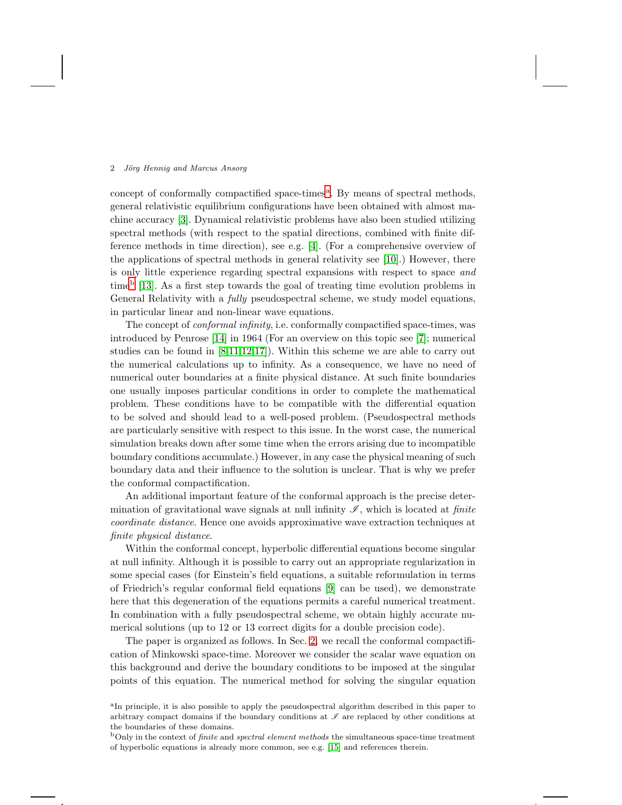concept of conform[a](#page-1-0)lly compactified space-times<sup>a</sup>. By means of spectral methods, general relativistic equilibrium configurations have been obtained with almost machine accuracy [\[3\]](#page-23-0). Dynamical relativistic problems have also been studied utilizing spectral methods (with respect to the spatial directions, combined with finite difference methods in time direction), see e.g. [\[4\]](#page-23-1). (For a comprehensive overview of the applications of spectral methods in general relativity see [\[10\]](#page-23-2).) However, there is only little experience regarding spectral expansions with respect to space and time[b](#page-1-1) [\[13\]](#page-23-3). As a first step towards the goal of treating time evolution problems in General Relativity with a *fully* pseudospectral scheme, we study model equations, in particular linear and non-linear wave equations.

The concept of conformal infinity, i.e. conformally compactified space-times, was introduced by Penrose [\[14\]](#page-23-4) in 1964 (For an overview on this topic see [\[7\]](#page-23-5); numerical studies can be found in [\[8](#page-23-6)[,11](#page-23-7)[,12,](#page-23-8)[17\]](#page-23-9)). Within this scheme we are able to carry out the numerical calculations up to infinity. As a consequence, we have no need of numerical outer boundaries at a finite physical distance. At such finite boundaries one usually imposes particular conditions in order to complete the mathematical problem. These conditions have to be compatible with the differential equation to be solved and should lead to a well-posed problem. (Pseudospectral methods are particularly sensitive with respect to this issue. In the worst case, the numerical simulation breaks down after some time when the errors arising due to incompatible boundary conditions accumulate.) However, in any case the physical meaning of such boundary data and their influence to the solution is unclear. That is why we prefer the conformal compactification.

An additional important feature of the conformal approach is the precise determination of gravitational wave signals at null infinity  $\mathscr{I}$ , which is located at *finite* coordinate distance. Hence one avoids approximative wave extraction techniques at finite physical distance.

Within the conformal concept, hyperbolic differential equations become singular at null infinity. Although it is possible to carry out an appropriate regularization in some special cases (for Einstein's field equations, a suitable reformulation in terms of Friedrich's regular conformal field equations [\[9\]](#page-23-10) can be used), we demonstrate here that this degeneration of the equations permits a careful numerical treatment. In combination with a fully pseudospectral scheme, we obtain highly accurate numerical solutions (up to 12 or 13 correct digits for a double precision code).

The paper is organized as follows. In Sec. [2,](#page-2-0) we recall the conformal compactification of Minkowski space-time. Moreover we consider the scalar wave equation on this background and derive the boundary conditions to be imposed at the singular points of this equation. The numerical method for solving the singular equation

<span id="page-1-0"></span><sup>&</sup>lt;sup>a</sup>In principle, it is also possible to apply the pseudospectral algorithm described in this paper to arbitrary compact domains if the boundary conditions at  $\mathscr I$  are replaced by other conditions at the boundaries of these domains.

<span id="page-1-1"></span> $b$ Only in the context of *finite* and *spectral element methods* the simultaneous space-time treatment of hyperbolic equations is already more common, see e.g. [\[15\]](#page-23-11) and references therein.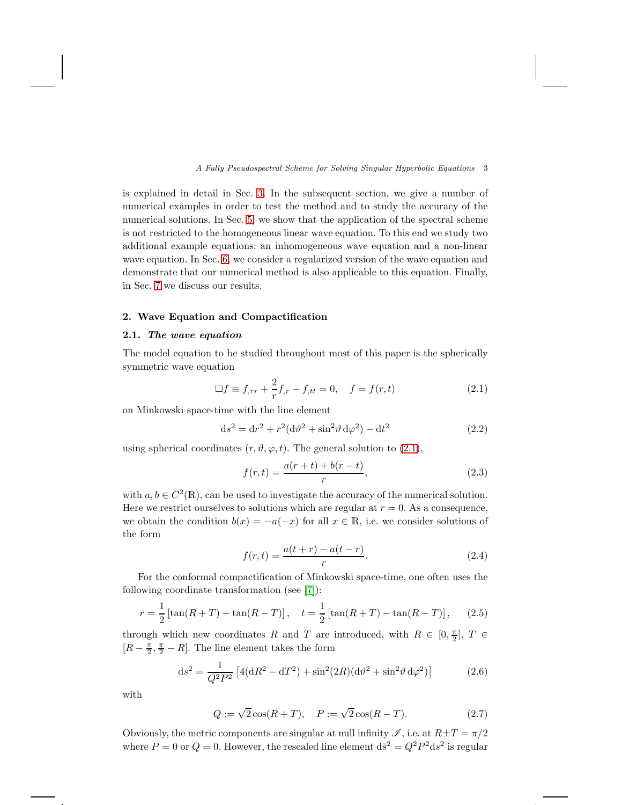is explained in detail in Sec. [3.](#page-5-0) In the subsequent section, we give a number of numerical examples in order to test the method and to study the accuracy of the numerical solutions. In Sec. [5,](#page-13-0) we show that the application of the spectral scheme is not restricted to the homogeneous linear wave equation. To this end we study two additional example equations: an inhomogeneous wave equation and a non-linear wave equation. In Sec. [6,](#page-18-0) we consider a regularized version of the wave equation and demonstrate that our numerical method is also applicable to this equation. Finally, in Sec. [7](#page-19-0) we discuss our results.

# <span id="page-2-0"></span>2. Wave Equation and Compactification

# 2.1. The wave equation

The model equation to be studied throughout most of this paper is the spherically symmetric wave equation

<span id="page-2-1"></span>
$$
\Box f \equiv f_{,rr} + \frac{2}{r} f_{,r} - f_{,tt} = 0, \quad f = f(r,t)
$$
\n(2.1)

on Minkowski space-time with the line element

$$
ds^{2} = dr^{2} + r^{2}(d\vartheta^{2} + \sin^{2}\vartheta d\varphi^{2}) - dt^{2}
$$
 (2.2)

using spherical coordinates  $(r, \vartheta, \varphi, t)$ . The general solution to [\(2.1\)](#page-2-1),

$$
f(r,t) = \frac{a(r+t) + b(r-t)}{r},
$$
\n(2.3)

with  $a, b \in C^2(\mathbb{R})$ , can be used to investigate the accuracy of the numerical solution. Here we restrict ourselves to solutions which are regular at  $r = 0$ . As a consequence, we obtain the condition  $b(x) = -a(-x)$  for all  $x \in \mathbb{R}$ , i.e. we consider solutions of the form

<span id="page-2-2"></span>
$$
f(r,t) = \frac{a(t+r) - a(t-r)}{r}.
$$
 (2.4)

For the conformal compactification of Minkowski space-time, one often uses the following coordinate transformation (see [\[7\]](#page-23-5)):

<span id="page-2-3"></span>
$$
r = \frac{1}{2} \left[ \tan(R + T) + \tan(R - T) \right], \quad t = \frac{1}{2} \left[ \tan(R + T) - \tan(R - T) \right], \tag{2.5}
$$

through which new coordinates R and T are introduced, with  $R \in [0, \frac{\pi}{2}]$ ,  $T \in$  $[R-\frac{\pi}{2},\frac{\pi}{2}-R]$ . The line element takes the form

<span id="page-2-5"></span>
$$
ds^{2} = \frac{1}{Q^{2}P^{2}} \left[ 4(dR^{2} - dT^{2}) + \sin^{2}(2R)(d\vartheta^{2} + \sin^{2}\vartheta d\varphi^{2}) \right]
$$
(2.6)

with

<span id="page-2-4"></span>
$$
Q := \sqrt{2}\cos(R+T), \quad P := \sqrt{2}\cos(R-T). \tag{2.7}
$$

Obviously, the metric components are singular at null infinity  $\mathscr{I}$ , i.e. at  $R\pm T = \pi/2$ where  $P = 0$  or  $Q = 0$ . However, the rescaled line element  $d\bar{s}^2 = Q^2 P^2 ds^2$  is regular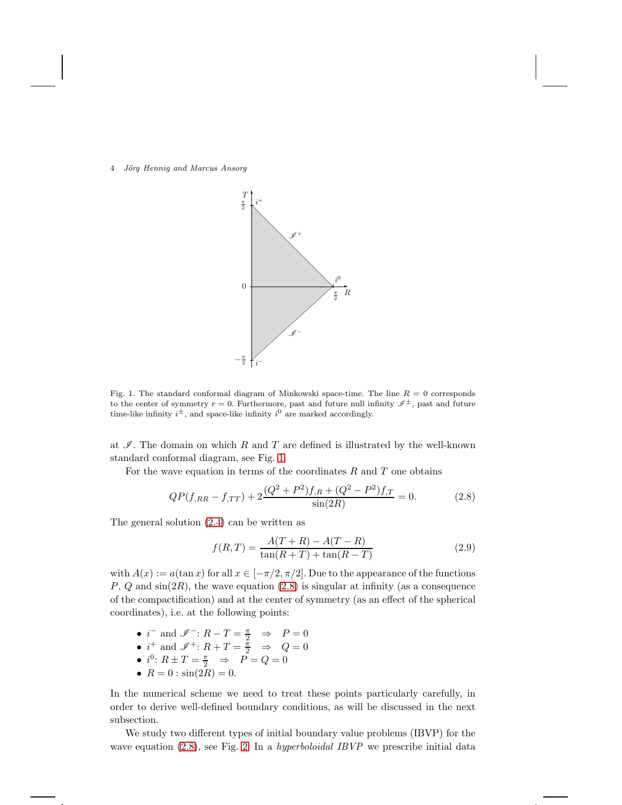4 Jörg Hennig and Marcus Ansorg



<span id="page-3-0"></span>Fig. 1. The standard conformal diagram of Minkowski space-time. The line  $R = 0$  corresponds to the center of symmetry  $r = 0$ . Furthermore, past and future null infinity  $\mathscr{I}^{\pm}$ , past and future time-like infinity  $i^{\pm}$ , and space-like infinity  $i^0$  are marked accordingly.

at  $\mathcal I$ . The domain on which R and T are defined is illustrated by the well-known standard conformal diagram, see Fig. [1.](#page-3-0)

For the wave equation in terms of the coordinates  $R$  and  $T$  one obtains

<span id="page-3-1"></span>
$$
QP(f_{,RR} - f_{,TT}) + 2\frac{(Q^2 + P^2)f_{,R} + (Q^2 - P^2)f_{,T}}{\sin(2R)} = 0.
$$
 (2.8)

The general solution [\(2.4\)](#page-2-2) can be written as

<span id="page-3-2"></span>
$$
f(R,T) = \frac{A(T+R) - A(T-R)}{\tan(R+T) + \tan(R-T)}
$$
\n(2.9)

with  $A(x) := a(\tan x)$  for all  $x \in [-\pi/2, \pi/2]$ . Due to the appearance of the functions  $P, Q$  and  $sin(2R)$ , the wave equation  $(2.8)$  is singular at infinity (as a consequence of the compactification) and at the center of symmetry (as an effect of the spherical coordinates), i.e. at the following points:

- $i^-$  and  $\mathscr{I}^-: R T = \frac{\pi}{2} \Rightarrow P = 0$
- $i^+$  and  $\mathscr{I}^+$ :  $R + T = \frac{\pi}{2} \Rightarrow Q = 0$
- $i^0$ :  $R \pm T = \frac{\pi}{2}$   $\Rightarrow$   $P = Q = 0$
- $R = 0$ :  $\sin(2R) = 0$ .

In the numerical scheme we need to treat these points particularly carefully, in order to derive well-defined boundary conditions, as will be discussed in the next subsection.

We study two different types of initial boundary value problems (IBVP) for the wave equation  $(2.8)$ , see Fig. [2.](#page-4-0) In a *hyperboloidal IBVP* we prescribe initial data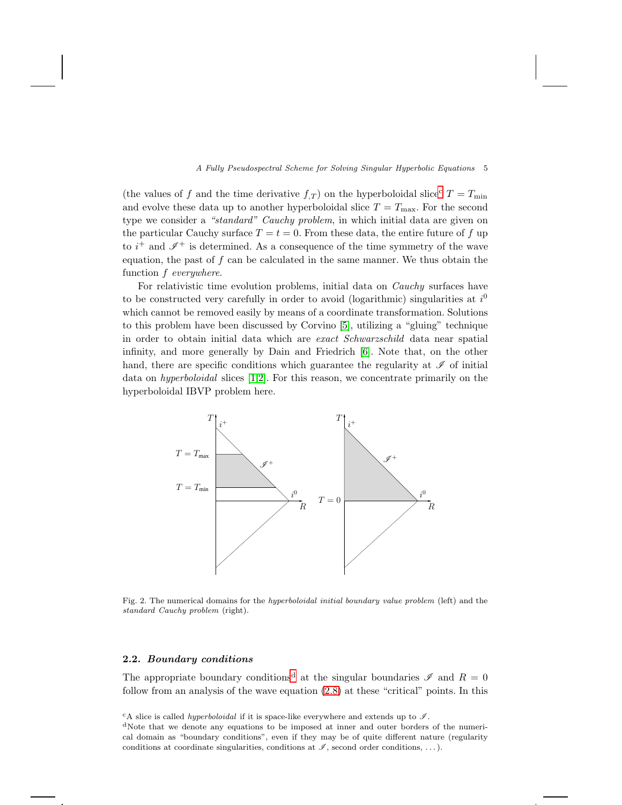(the values of f and the time derivative  $f_{,T}$ ) on the hyperboloidal sli[c](#page-4-1)e<sup>c</sup>  $T = T_{\min}$ and evolve these data up to another hyperboloidal slice  $T = T_{\text{max}}$ . For the second type we consider a "standard" Cauchy problem, in which initial data are given on the particular Cauchy surface  $T = t = 0$ . From these data, the entire future of f up to  $i^+$  and  $\mathscr{I}^+$  is determined. As a consequence of the time symmetry of the wave equation, the past of f can be calculated in the same manner. We thus obtain the function f everywhere.

For relativistic time evolution problems, initial data on Cauchy surfaces have to be constructed very carefully in order to avoid (logarithmic) singularities at  $i^0$ which cannot be removed easily by means of a coordinate transformation. Solutions to this problem have been discussed by Corvino [\[5\]](#page-23-12), utilizing a "gluing" technique in order to obtain initial data which are exact Schwarzschild data near spatial infinity, and more generally by Dain and Friedrich [\[6\]](#page-23-13). Note that, on the other hand, there are specific conditions which guarantee the regularity at  $\mathscr I$  of initial data on hyperboloidal slices [\[1](#page-23-14)[,2\]](#page-23-15). For this reason, we concentrate primarily on the hyperboloidal IBVP problem here.



<span id="page-4-0"></span>Fig. 2. The numerical domains for the hyperboloidal initial boundary value problem (left) and the standard Cauchy problem (right).

### 2.2. Boundary conditions

The appropriate boun[d](#page-4-2)ary conditions<sup>d</sup> at the singular boundaries  $\mathscr I$  and  $R = 0$ follow from an analysis of the wave equation [\(2.8\)](#page-3-1) at these "critical" points. In this

<sup>c</sup>A slice is called *hyperboloidal* if it is space-like everywhere and extends up to  $\mathcal{I}$ .

<span id="page-4-2"></span><span id="page-4-1"></span><sup>d</sup>Note that we denote any equations to be imposed at inner and outer borders of the numerical domain as "boundary conditions", even if they may be of quite different nature (regularity conditions at coordinate singularities, conditions at  $\mathscr{I}$ , second order conditions, ...).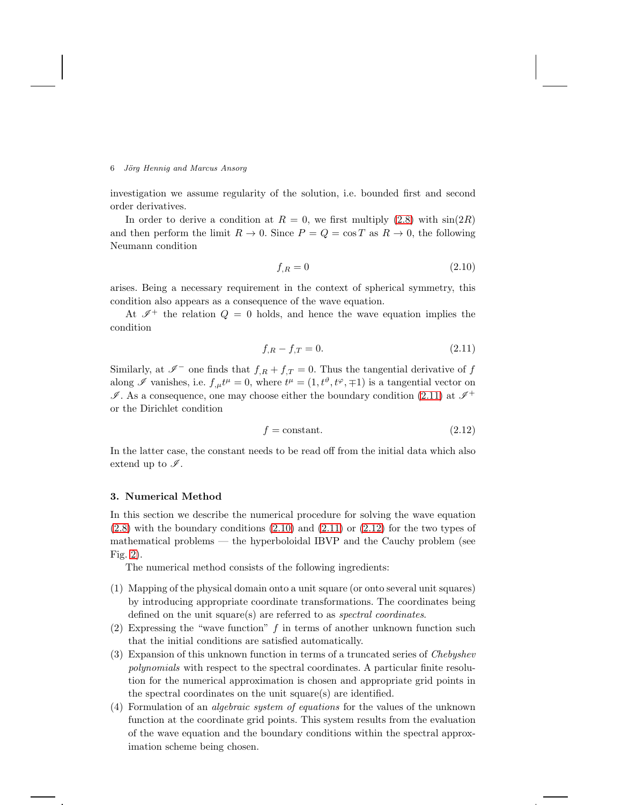investigation we assume regularity of the solution, i.e. bounded first and second order derivatives.

In order to derive a condition at  $R = 0$ , we first multiply [\(2.8\)](#page-3-1) with  $sin(2R)$ and then perform the limit  $R \to 0$ . Since  $P = Q = \cos T$  as  $R \to 0$ , the following Neumann condition

<span id="page-5-2"></span>
$$
f_{,R} = 0 \tag{2.10}
$$

arises. Being a necessary requirement in the context of spherical symmetry, this condition also appears as a consequence of the wave equation.

At  $\mathscr{I}^+$  the relation  $Q = 0$  holds, and hence the wave equation implies the condition

<span id="page-5-1"></span>
$$
f_{,R} - f_{,T} = 0.\t\t(2.11)
$$

Similarly, at  $\mathscr{I}^-$  one finds that  $f_{,R} + f_{,T} = 0$ . Thus the tangential derivative of  $f$ along  $\mathscr I$  vanishes, i.e.  $f_{,\mu}t^{\mu} = 0$ , where  $t^{\mu} = (1, t^{\vartheta}, t^{\varphi}, \mp 1)$  is a tangential vector on  $\mathscr{I}$ . As a consequence, one may choose either the boundary condition [\(2.11\)](#page-5-1) at  $\mathscr{I}^+$ or the Dirichlet condition

<span id="page-5-3"></span>
$$
f = \text{constant.} \tag{2.12}
$$

In the latter case, the constant needs to be read off from the initial data which also extend up to  $\mathscr{I}$ .

#### <span id="page-5-0"></span>3. Numerical Method

In this section we describe the numerical procedure for solving the wave equation  $(2.8)$  with the boundary conditions  $(2.10)$  and  $(2.11)$  or  $(2.12)$  for the two types of mathematical problems — the hyperboloidal IBVP and the Cauchy problem (see Fig. [2\)](#page-4-0).

The numerical method consists of the following ingredients:

- (1) Mapping of the physical domain onto a unit square (or onto several unit squares) by introducing appropriate coordinate transformations. The coordinates being defined on the unit square(s) are referred to as *spectral coordinates*.
- (2) Expressing the "wave function"  $f$  in terms of another unknown function such that the initial conditions are satisfied automatically.
- (3) Expansion of this unknown function in terms of a truncated series of Chebyshev polynomials with respect to the spectral coordinates. A particular finite resolution for the numerical approximation is chosen and appropriate grid points in the spectral coordinates on the unit square(s) are identified.
- (4) Formulation of an algebraic system of equations for the values of the unknown function at the coordinate grid points. This system results from the evaluation of the wave equation and the boundary conditions within the spectral approximation scheme being chosen.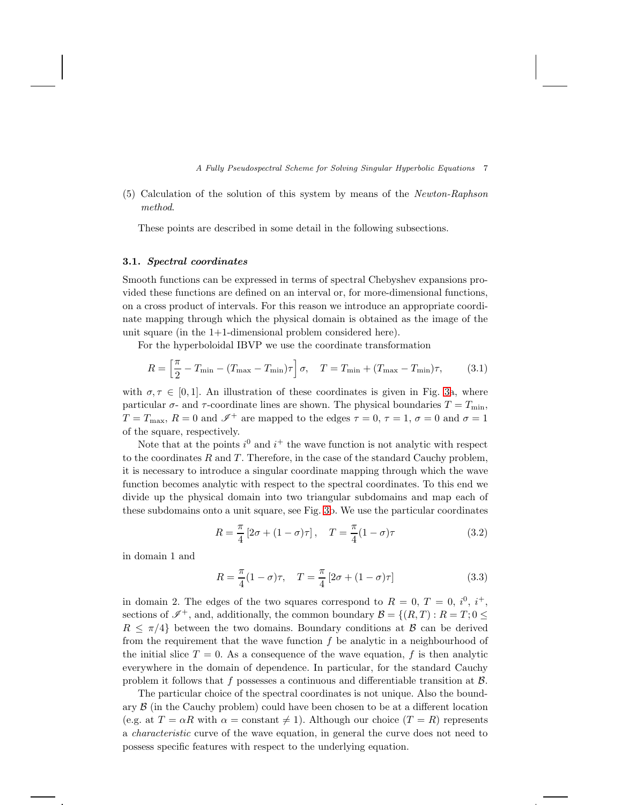(5) Calculation of the solution of this system by means of the Newton-Raphson method.

These points are described in some detail in the following subsections.

## <span id="page-6-0"></span>3.1. Spectral coordinates

Smooth functions can be expressed in terms of spectral Chebyshev expansions provided these functions are defined on an interval or, for more-dimensional functions, on a cross product of intervals. For this reason we introduce an appropriate coordinate mapping through which the physical domain is obtained as the image of the unit square (in the 1+1-dimensional problem considered here).

For the hyperboloidal IBVP we use the coordinate transformation

$$
R = \left[\frac{\pi}{2} - T_{\min} - (T_{\max} - T_{\min})\tau\right]\sigma, \quad T = T_{\min} + (T_{\max} - T_{\min})\tau,
$$
 (3.1)

with  $\sigma, \tau \in [0, 1]$ . An illustration of these coordinates is given in Fig. [3a](#page-7-0), where particular  $\sigma$ - and  $\tau$ -coordinate lines are shown. The physical boundaries  $T = T_{\text{min}}$ ,  $T = T_{\text{max}}$ ,  $R = 0$  and  $\mathscr{I}^+$  are mapped to the edges  $\tau = 0$ ,  $\tau = 1$ ,  $\sigma = 0$  and  $\sigma = 1$ of the square, respectively.

Note that at the points  $i^0$  and  $i^+$  the wave function is not analytic with respect to the coordinates  $R$  and  $T$ . Therefore, in the case of the standard Cauchy problem, it is necessary to introduce a singular coordinate mapping through which the wave function becomes analytic with respect to the spectral coordinates. To this end we divide up the physical domain into two triangular subdomains and map each of these subdomains onto a unit square, see Fig. [3b](#page-7-0). We use the particular coordinates

$$
R = \frac{\pi}{4} \left[ 2\sigma + (1 - \sigma)\tau \right], \quad T = \frac{\pi}{4} (1 - \sigma)\tau
$$
\n
$$
(3.2)
$$

in domain 1 and

$$
R = \frac{\pi}{4}(1 - \sigma)\tau, \quad T = \frac{\pi}{4}[2\sigma + (1 - \sigma)\tau]
$$
 (3.3)

in domain 2. The edges of the two squares correspond to  $R = 0, T = 0, i^0, i^+,$ sections of  $\mathscr{I}^+$ , and, additionally, the common boundary  $\mathcal{B} = \{(R, T) : R = T; 0 \leq \mathcal{B}\}$  $R \leq \pi/4$  between the two domains. Boundary conditions at B can be derived from the requirement that the wave function  $f$  be analytic in a neighbourhood of the initial slice  $T = 0$ . As a consequence of the wave equation, f is then analytic everywhere in the domain of dependence. In particular, for the standard Cauchy problem it follows that f possesses a continuous and differentiable transition at  $\beta$ .

The particular choice of the spectral coordinates is not unique. Also the boundary  $\beta$  (in the Cauchy problem) could have been chosen to be at a different location (e.g. at  $T = \alpha R$  with  $\alpha = \text{constant} \neq 1$ ). Although our choice  $(T = R)$  represents a characteristic curve of the wave equation, in general the curve does not need to possess specific features with respect to the underlying equation.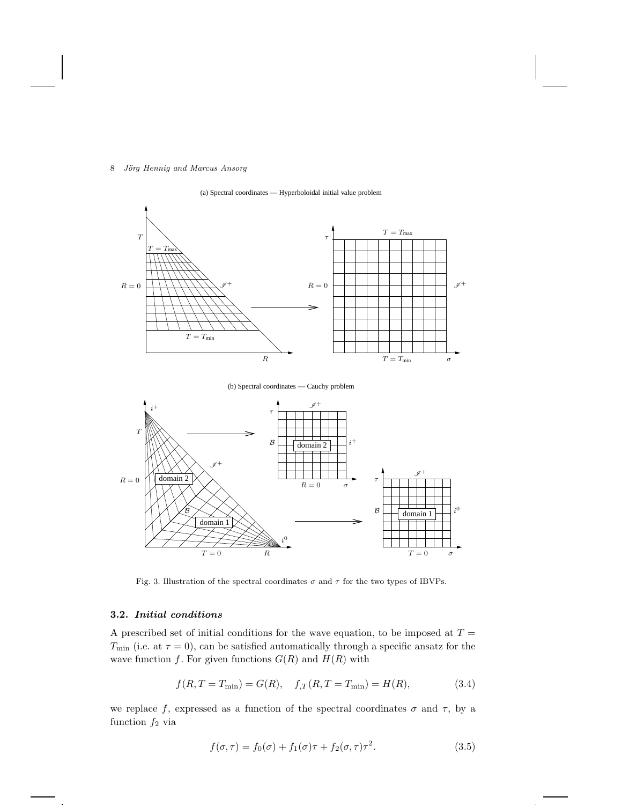



<span id="page-7-0"></span>Fig. 3. Illustration of the spectral coordinates  $\sigma$  and  $\tau$  for the two types of IBVPs.

# 3.2. Initial conditions

A prescribed set of initial conditions for the wave equation, to be imposed at  $T =$  $T_{\text{min}}$  (i.e. at  $\tau = 0$ ), can be satisfied automatically through a specific ansatz for the wave function f. For given functions  $G(R)$  and  $H(R)$  with

$$
f(R, T = T_{\min}) = G(R), \quad f_{,T}(R, T = T_{\min}) = H(R),
$$
 (3.4)

we replace f, expressed as a function of the spectral coordinates  $\sigma$  and  $\tau$ , by a function  $f_2$  via

<span id="page-7-1"></span>
$$
f(\sigma, \tau) = f_0(\sigma) + f_1(\sigma)\tau + f_2(\sigma, \tau)\tau^2.
$$
\n(3.5)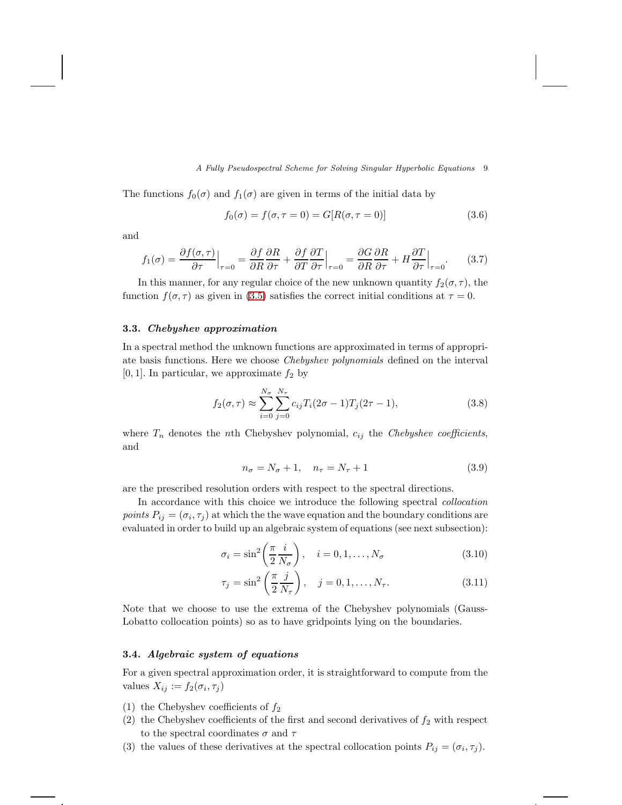The functions  $f_0(\sigma)$  and  $f_1(\sigma)$  are given in terms of the initial data by

$$
f_0(\sigma) = f(\sigma, \tau = 0) = G[R(\sigma, \tau = 0)]
$$
\n(3.6)

and

$$
f_1(\sigma) = \frac{\partial f(\sigma, \tau)}{\partial \tau}\Big|_{\tau=0} = \frac{\partial f}{\partial R}\frac{\partial R}{\partial \tau} + \frac{\partial f}{\partial T}\frac{\partial T}{\partial \tau}\Big|_{\tau=0} = \frac{\partial G}{\partial R}\frac{\partial R}{\partial \tau} + H\frac{\partial T}{\partial \tau}\Big|_{\tau=0}.
$$
 (3.7)

In this manner, for any regular choice of the new unknown quantity  $f_2(\sigma, \tau)$ , the function  $f(\sigma, \tau)$  as given in [\(3.5\)](#page-7-1) satisfies the correct initial conditions at  $\tau = 0$ .

## 3.3. Chebyshev approximation

In a spectral method the unknown functions are approximated in terms of appropriate basis functions. Here we choose Chebyshev polynomials defined on the interval [0, 1]. In particular, we approximate  $f_2$  by

<span id="page-8-1"></span>
$$
f_2(\sigma, \tau) \approx \sum_{i=0}^{N_{\sigma}} \sum_{j=0}^{N_{\tau}} c_{ij} T_i (2\sigma - 1) T_j (2\tau - 1),
$$
\n(3.8)

where  $T_n$  denotes the nth Chebyshev polynomial,  $c_{ij}$  the Chebyshev coefficients, and

$$
n_{\sigma} = N_{\sigma} + 1, \quad n_{\tau} = N_{\tau} + 1 \tag{3.9}
$$

are the prescribed resolution orders with respect to the spectral directions.

In accordance with this choice we introduce the following spectral collocation points  $P_{ij} = (\sigma_i, \tau_j)$  at which the the wave equation and the boundary conditions are evaluated in order to build up an algebraic system of equations (see next subsection):

$$
\sigma_i = \sin^2\left(\frac{\pi}{2} \frac{i}{N_\sigma}\right), \quad i = 0, 1, \dots, N_\sigma \tag{3.10}
$$

$$
\tau_j = \sin^2\left(\frac{\pi}{2}\frac{j}{N_\tau}\right), \quad j = 0, 1, \dots, N_\tau. \tag{3.11}
$$

Note that we choose to use the extrema of the Chebyshev polynomials (Gauss-Lobatto collocation points) so as to have gridpoints lying on the boundaries.

# <span id="page-8-0"></span>3.4. Algebraic system of equations

For a given spectral approximation order, it is straightforward to compute from the values  $X_{ij} := f_2(\sigma_i, \tau_j)$ 

- (1) the Chebyshev coefficients of  $f_2$
- (2) the Chebyshev coefficients of the first and second derivatives of  $f_2$  with respect to the spectral coordinates  $\sigma$  and  $\tau$
- (3) the values of these derivatives at the spectral collocation points  $P_{ij} = (\sigma_i, \tau_j)$ .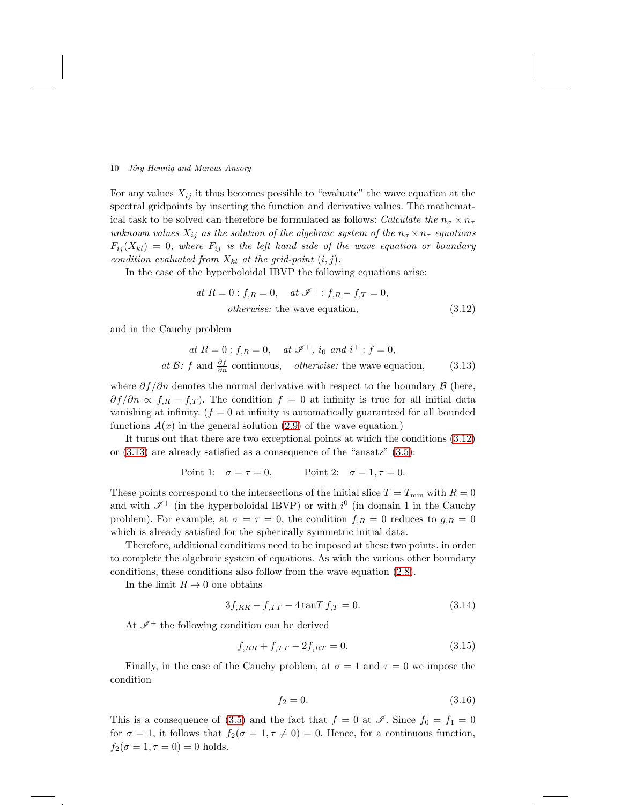For any values  $X_{ij}$  it thus becomes possible to "evaluate" the wave equation at the spectral gridpoints by inserting the function and derivative values. The mathematical task to be solved can therefore be formulated as follows: Calculate the  $n_{\sigma} \times n_{\tau}$ unknown values  $X_{ij}$  as the solution of the algebraic system of the  $n_{\sigma} \times n_{\tau}$  equations  $F_{ij}(X_{kl}) = 0$ , where  $F_{ij}$  is the left hand side of the wave equation or boundary condition evaluated from  $X_{kl}$  at the grid-point  $(i, j)$ .

In the case of the hyperboloidal IBVP the following equations arise:

<span id="page-9-0"></span>at 
$$
R = 0
$$
:  $f_{,R} = 0$ , at  $\mathcal{I}^+$ :  $f_{,R} - f_{,T} = 0$ ,  
otherwise: the wave equation, (3.12)

and in the Cauchy problem

<span id="page-9-1"></span>at 
$$
R = 0
$$
:  $f_{,R} = 0$ , at  $\mathcal{I}^+$ ,  $i_0$  and  $i^+$ :  $f = 0$ ,  
at  $\mathcal{B}$ :  $f$  and  $\frac{\partial f}{\partial n}$  continuous, otherwise: the wave equation, (3.13)

where  $\partial f / \partial n$  denotes the normal derivative with respect to the boundary  $\beta$  (here,  $\partial f / \partial n \propto f_{,R} - f_{,T}$ . The condition  $f = 0$  at infinity is true for all initial data vanishing at infinity.  $(f = 0$  at infinity is automatically guaranteed for all bounded functions  $A(x)$  in the general solution [\(2.9\)](#page-3-2) of the wave equation.)

It turns out that there are two exceptional points at which the conditions [\(3.12\)](#page-9-0) or [\(3.13\)](#page-9-1) are already satisfied as a consequence of the "ansatz" [\(3.5\)](#page-7-1):

Point 1: 
$$
\sigma = \tau = 0
$$
, Point 2:  $\sigma = 1, \tau = 0$ .

These points correspond to the intersections of the initial slice  $T = T_{\text{min}}$  with  $R = 0$ and with  $\mathscr{I}^+$  (in the hyperboloidal IBVP) or with  $i^0$  (in domain 1 in the Cauchy problem). For example, at  $\sigma = \tau = 0$ , the condition  $f_{,R} = 0$  reduces to  $g_{,R} = 0$ which is already satisfied for the spherically symmetric initial data.

Therefore, additional conditions need to be imposed at these two points, in order to complete the algebraic system of equations. As with the various other boundary conditions, these conditions also follow from the wave equation [\(2.8\)](#page-3-1).

In the limit  $R \to 0$  one obtains

<span id="page-9-2"></span>
$$
3f_{,RR} - f_{,TT} - 4\tan T f_{,T} = 0.
$$
\n(3.14)

At  $\mathscr{I}^+$  the following condition can be derived

<span id="page-9-3"></span>
$$
f_{,RR} + f_{,TT} - 2f_{,RT} = 0.
$$
\n(3.15)

Finally, in the case of the Cauchy problem, at  $\sigma = 1$  and  $\tau = 0$  we impose the condition

$$
f_2 = 0.\t\t(3.16)
$$

This is a consequence of [\(3.5\)](#page-7-1) and the fact that  $f = 0$  at  $\mathscr{I}$ . Since  $f_0 = f_1 = 0$ for  $\sigma = 1$ , it follows that  $f_2(\sigma = 1, \tau \neq 0) = 0$ . Hence, for a continuous function,  $f_2(\sigma = 1, \tau = 0) = 0$  holds.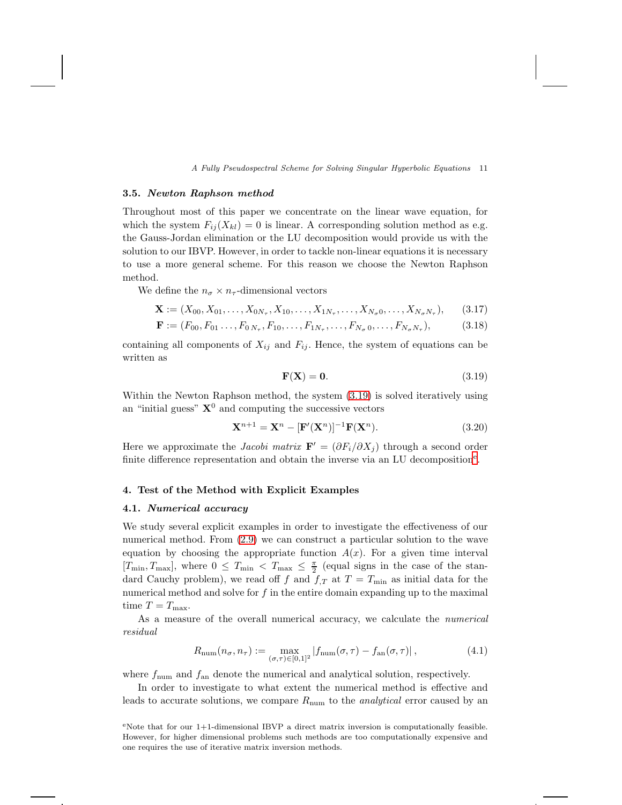#### 3.5. Newton Raphson method

Throughout most of this paper we concentrate on the linear wave equation, for which the system  $F_{ij}(X_{kl}) = 0$  is linear. A corresponding solution method as e.g. the Gauss-Jordan elimination or the LU decomposition would provide us with the solution to our IBVP. However, in order to tackle non-linear equations it is necessary to use a more general scheme. For this reason we choose the Newton Raphson method.

We define the  $n_{\sigma} \times n_{\tau}$ -dimensional vectors

$$
\mathbf{X} := (X_{00}, X_{01}, \dots, X_{0N_{\tau}}, X_{10}, \dots, X_{1N_{\tau}}, \dots, X_{N_{\sigma}0}, \dots, X_{N_{\sigma}N_{\tau}}),
$$
(3.17)

$$
\mathbf{F} := (F_{00}, F_{01}, \dots, F_{0, N_{\tau}}, F_{10}, \dots, F_{1N_{\tau}}, \dots, F_{N_{\sigma}, 0}, \dots, F_{N_{\sigma}, N_{\tau}}),
$$
(3.18)

containing all components of  $X_{ij}$  and  $F_{ij}$ . Hence, the system of equations can be written as

<span id="page-10-0"></span>
$$
\mathbf{F}(\mathbf{X}) = \mathbf{0}.\tag{3.19}
$$

Within the Newton Raphson method, the system [\(3.19\)](#page-10-0) is solved iteratively using an "initial guess"  $X^0$  and computing the successive vectors

$$
\mathbf{X}^{n+1} = \mathbf{X}^n - [\mathbf{F}'(\mathbf{X}^n)]^{-1} \mathbf{F}(\mathbf{X}^n).
$$
 (3.20)

Here we approximate the *Jacobi matrix*  $\mathbf{F}' = (\partial F_i/\partial X_i)$  through a second order finit[e](#page-10-1) difference representation and obtain the inverse via an LU decomposition<sup>e</sup>.

### 4. Test of the Method with Explicit Examples

### 4.1. Numerical accuracy

We study several explicit examples in order to investigate the effectiveness of our numerical method. From [\(2.9\)](#page-3-2) we can construct a particular solution to the wave equation by choosing the appropriate function  $A(x)$ . For a given time interval  $[T_{\min}, T_{\max}]$ , where  $0 \le T_{\min} < T_{\max} \le \frac{\pi}{2}$  (equal signs in the case of the standard Cauchy problem), we read off f and  $f_{,T}$  at  $T = T_{\text{min}}$  as initial data for the numerical method and solve for  $f$  in the entire domain expanding up to the maximal time  $T = T_{\text{max}}$ .

As a measure of the overall numerical accuracy, we calculate the numerical residual

<span id="page-10-2"></span>
$$
R_{\text{num}}(n_{\sigma}, n_{\tau}) := \max_{(\sigma, \tau) \in [0, 1]^2} |f_{\text{num}}(\sigma, \tau) - f_{\text{an}}(\sigma, \tau)|,
$$
\n(4.1)

where  $f_{\text{num}}$  and  $f_{\text{an}}$  denote the numerical and analytical solution, respectively.

In order to investigate to what extent the numerical method is effective and leads to accurate solutions, we compare  $R_{\text{num}}$  to the *analytical* error caused by an

<span id="page-10-1"></span>eNote that for our  $1+1$ -dimensional IBVP a direct matrix inversion is computationally feasible. However, for higher dimensional problems such methods are too computationally expensive and one requires the use of iterative matrix inversion methods.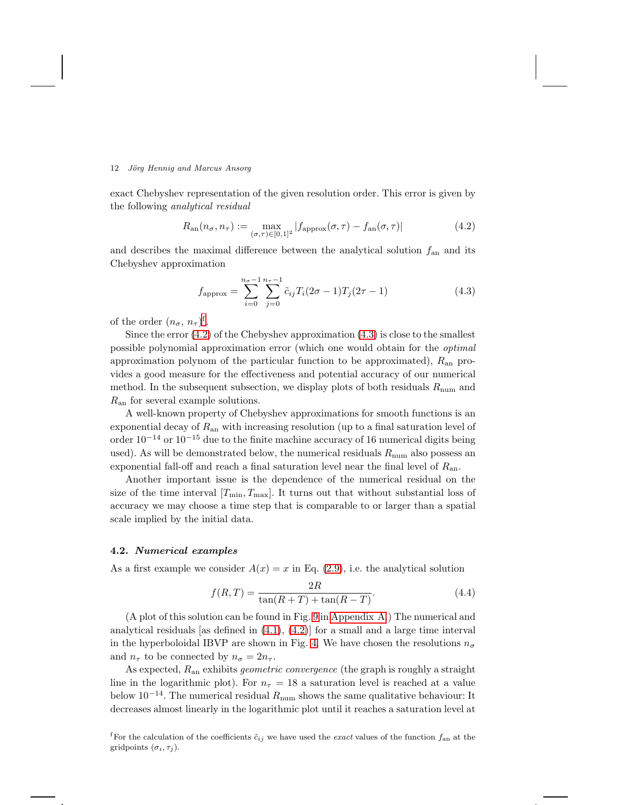exact Chebyshev representation of the given resolution order. This error is given by the following analytical residual

<span id="page-11-1"></span>
$$
R_{\text{an}}(n_{\sigma}, n_{\tau}) := \max_{(\sigma,\tau) \in [0,1]^2} |f_{\text{approx}}(\sigma, \tau) - f_{\text{an}}(\sigma, \tau)| \tag{4.2}
$$

and describes the maximal difference between the analytical solution  $f_{an}$  and its Chebyshev approximation

<span id="page-11-2"></span>
$$
f_{\rm approx} = \sum_{i=0}^{n_{\sigma}-1} \sum_{j=0}^{n_{\tau}-1} \tilde{c}_{ij} T_i (2\sigma - 1) T_j (2\tau - 1)
$$
 (4.3)

o[f](#page-11-0) the order  $(n_{\sigma}, n_{\tau})^{\text{f}}$ .

Since the error  $(4.2)$  of the Chebyshev approximation  $(4.3)$  is close to the smallest possible polynomial approximation error (which one would obtain for the optimal approximation polynom of the particular function to be approximated),  $R_{\rm an}$  provides a good measure for the effectiveness and potential accuracy of our numerical method. In the subsequent subsection, we display plots of both residuals  $R_{\text{num}}$  and  $R_{\rm an}$  for several example solutions.

A well-known property of Chebyshev approximations for smooth functions is an exponential decay of  $R_{an}$  with increasing resolution (up to a final saturation level of order  $10^{-14}$  or  $10^{-15}$  due to the finite machine accuracy of 16 numerical digits being used). As will be demonstrated below, the numerical residuals  $R_{\text{num}}$  also possess an exponential fall-off and reach a final saturation level near the final level of  $R_{an}$ .

Another important issue is the dependence of the numerical residual on the size of the time interval  $[T_{\min}, T_{\max}]$ . It turns out that without substantial loss of accuracy we may choose a time step that is comparable to or larger than a spatial scale implied by the initial data.

### 4.2. Numerical examples

As a first example we consider  $A(x) = x$  in Eq. [\(2.9\)](#page-3-2), i.e. the analytical solution

$$
f(R,T) = \frac{2R}{\tan(R+T) + \tan(R-T)}.
$$
\n(4.4)

(A plot of this solution can be found in Fig. [9](#page-21-0) in [Appendix A.](#page-21-1)) The numerical and analytical residuals [as defined in  $(4.1)$ ,  $(4.2)$ ] for a small and a large time interval in the hyperboloidal IBVP are shown in Fig. [4.](#page-12-0) We have chosen the resolutions  $n_{\sigma}$ and  $n_{\tau}$  to be connected by  $n_{\sigma} = 2n_{\tau}$ .

As expected,  $R_{an}$  exhibits *geometric convergence* (the graph is roughly a straight line in the logarithmic plot). For  $n<sub>\tau</sub> = 18$  a saturation level is reached at a value below  $10^{-14}$ . The numerical residual  $R_{\text{num}}$  shows the same qualitative behaviour: It decreases almost linearly in the logarithmic plot until it reaches a saturation level at

<span id="page-11-0"></span><sup>f</sup>For the calculation of the coefficients  $\tilde{c}_{ij}$  we have used the exact values of the function  $f_{an}$  at the gridpoints  $(\sigma_i, \tau_j)$ .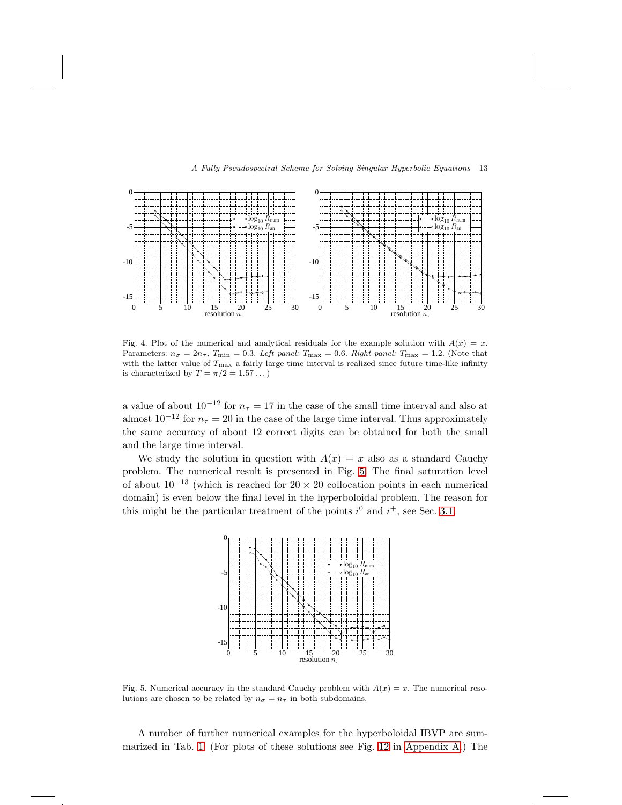



<span id="page-12-0"></span>Fig. 4. Plot of the numerical and analytical residuals for the example solution with  $A(x) = x$ . Parameters:  $n_{\sigma} = 2n_{\tau}$ ,  $T_{\text{min}} = 0.3$ . Left panel:  $T_{\text{max}} = 0.6$ . Right panel:  $T_{\text{max}} = 1.2$ . (Note that with the latter value of  $T_{\text{max}}$  a fairly large time interval is realized since future time-like infinity is characterized by  $T = \pi/2 = 1.57...$ 

a value of about  $10^{-12}$  for  $n<sub>\tau</sub> = 17$  in the case of the small time interval and also at almost  $10^{-12}$  for  $n<sub>\tau</sub> = 20$  in the case of the large time interval. Thus approximately the same accuracy of about 12 correct digits can be obtained for both the small and the large time interval.

We study the solution in question with  $A(x) = x$  also as a standard Cauchy problem. The numerical result is presented in Fig. [5.](#page-12-1) The final saturation level of about  $10^{-13}$  (which is reached for  $20 \times 20$  collocation points in each numerical domain) is even below the final level in the hyperboloidal problem. The reason for this might be the particular treatment of the points  $i^0$  and  $i^+$ , see Sec. [3.1.](#page-6-0)



<span id="page-12-1"></span>Fig. 5. Numerical accuracy in the standard Cauchy problem with  $A(x) = x$ . The numerical resolutions are chosen to be related by  $n_{\sigma} = n_{\tau}$  in both subdomains.

A number of further numerical examples for the hyperboloidal IBVP are summarized in Tab. [1.](#page-13-1) (For plots of these solutions see Fig. [12](#page-22-0) in [Appendix](#page-21-1) A.) The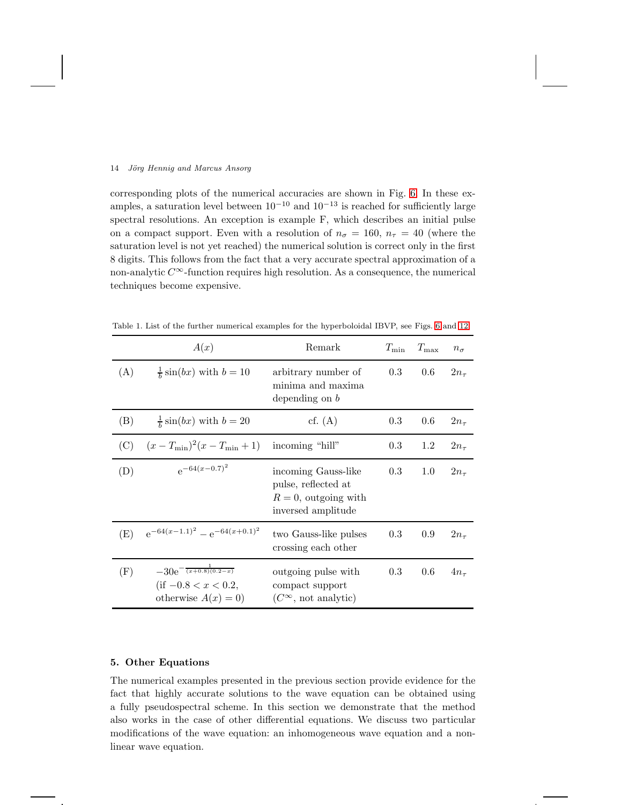corresponding plots of the numerical accuracies are shown in Fig. [6.](#page-14-0) In these examples, a saturation level between  $10^{-10}$  and  $10^{-13}$  is reached for sufficiently large spectral resolutions. An exception is example F, which describes an initial pulse on a compact support. Even with a resolution of  $n_{\sigma} = 160$ ,  $n_{\tau} = 40$  (where the saturation level is not yet reached) the numerical solution is correct only in the first 8 digits. This follows from the fact that a very accurate spectral approximation of a non-analytic  $C^{\infty}$ -function requires high resolution. As a consequence, the numerical techniques become expensive.

<span id="page-13-1"></span>

|     | A(x)                                                                                        | Remark                                                                                    | $T_{\rm min}$ | $T_{\rm max}$ | $n_{\sigma}$ |
|-----|---------------------------------------------------------------------------------------------|-------------------------------------------------------------------------------------------|---------------|---------------|--------------|
| (A) | $rac{1}{b}$ sin( <i>bx</i> ) with $b = 10$                                                  | arbitrary number of<br>minima and maxima<br>depending on $b$                              | 0.3           | 0.6           | $2n_{\tau}$  |
| (B) | $\frac{1}{b}\sin(bx)$ with $b=20$                                                           | cf. $(A)$                                                                                 | 0.3           | 0.6           | $2n_{\tau}$  |
| (C) | $(x-T_{\min})^2(x-T_{\min}+1)$                                                              | incoming "hill"                                                                           | 0.3           | 1.2           | $2n_{\tau}$  |
| (D) | $e^{-64(x-0.7)^2}$                                                                          | incoming Gauss-like<br>pulse, reflected at<br>$R=0$ , outgoing with<br>inversed amplitude | 0.3           | 1.0           | $2n_{\tau}$  |
| (E) | $e^{-64(x-1.1)^2} - e^{-64(x+0.1)^2}$                                                       | two Gauss-like pulses<br>crossing each other                                              | 0.3           | 0.9           | $2n_{\tau}$  |
| (F) | $-30e^{-\frac{1}{(x+0.8)(0.2-x)}}$<br>$\text{(if } -0.8 < x < 0.2,$<br>otherwise $A(x) = 0$ | outgoing pulse with<br>compact support<br>$(C^{\infty}$ , not analytic)                   | $0.3\,$       | $0.6\,$       | $4n_{\tau}$  |

Table 1. List of the further numerical examples for the hyperboloidal IBVP, see Figs. [6](#page-14-0) and [12.](#page-22-0)

### <span id="page-13-0"></span>5. Other Equations

The numerical examples presented in the previous section provide evidence for the fact that highly accurate solutions to the wave equation can be obtained using a fully pseudospectral scheme. In this section we demonstrate that the method also works in the case of other differential equations. We discuss two particular modifications of the wave equation: an inhomogeneous wave equation and a nonlinear wave equation.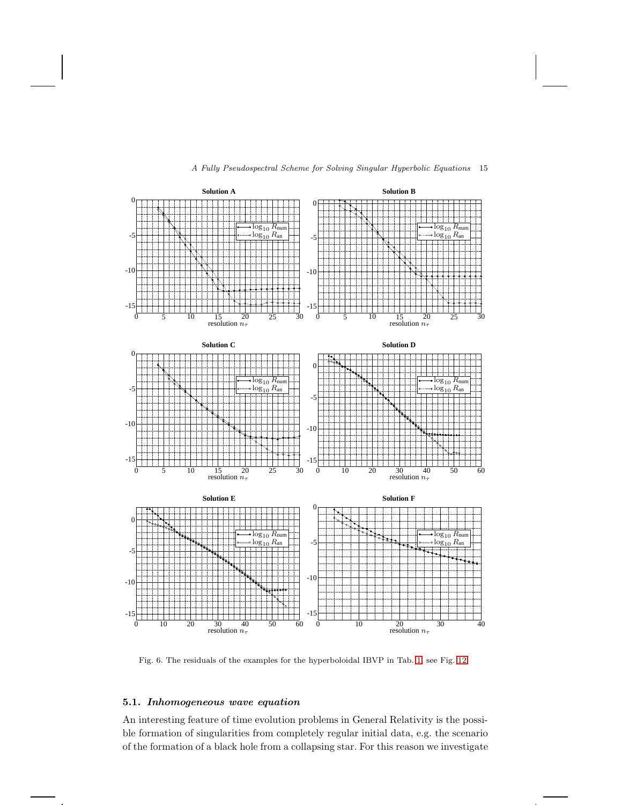

<span id="page-14-0"></span>Fig. 6. The residuals of the examples for the hyperboloidal IBVP in Tab. [1,](#page-13-1) see Fig. [12.](#page-22-0)

# 5.1. Inhomogeneous wave equation

An interesting feature of time evolution problems in General Relativity is the possible formation of singularities from completely regular initial data, e.g. the scenario of the formation of a black hole from a collapsing star. For this reason we investigate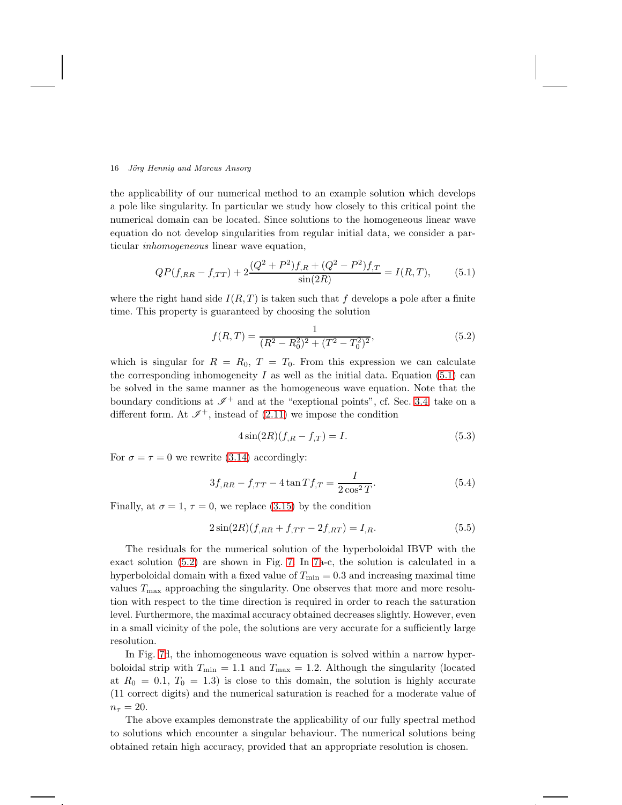the applicability of our numerical method to an example solution which develops a pole like singularity. In particular we study how closely to this critical point the numerical domain can be located. Since solutions to the homogeneous linear wave equation do not develop singularities from regular initial data, we consider a particular inhomogeneous linear wave equation,

<span id="page-15-0"></span>
$$
QP(f_{,RR} - f_{,TT}) + 2\frac{(Q^2 + P^2)f_{,R} + (Q^2 - P^2)f_{,T}}{\sin(2R)} = I(R,T),\tag{5.1}
$$

where the right hand side  $I(R, T)$  is taken such that f develops a pole after a finite time. This property is guaranteed by choosing the solution

<span id="page-15-1"></span>
$$
f(R,T) = \frac{1}{(R^2 - R_0^2)^2 + (T^2 - T_0^2)^2},\tag{5.2}
$$

which is singular for  $R = R_0$ ,  $T = T_0$ . From this expression we can calculate the corresponding inhomogeneity  $I$  as well as the initial data. Equation [\(5.1\)](#page-15-0) can be solved in the same manner as the homogeneous wave equation. Note that the boundary conditions at  $\mathscr{I}^+$  and at the "exeptional points", cf. Sec. [3.4,](#page-8-0) take on a different form. At  $\mathscr{I}^+$ , instead of [\(2.11\)](#page-5-1) we impose the condition

$$
4\sin(2R)(f_{,R} - f_{,T}) = I.
$$
\n(5.3)

For  $\sigma = \tau = 0$  we rewrite [\(3.14\)](#page-9-2) accordingly:

$$
3f_{,RR} - f_{,TT} - 4\tan Tf_{,T} = \frac{I}{2\cos^2 T}.
$$
\n(5.4)

Finally, at  $\sigma = 1$ ,  $\tau = 0$ , we replace [\(3.15\)](#page-9-3) by the condition

$$
2\sin(2R)(f_{,RR} + f_{,TT} - 2f_{,RT}) = I_{,R}.\tag{5.5}
$$

The residuals for the numerical solution of the hyperboloidal IBVP with the exact solution [\(5.2\)](#page-15-1) are shown in Fig. [7.](#page-16-0) In [7a](#page-16-0)-c, the solution is calculated in a hyperboloidal domain with a fixed value of  $T_{\min} = 0.3$  and increasing maximal time values  $T_{\text{max}}$  approaching the singularity. One observes that more and more resolution with respect to the time direction is required in order to reach the saturation level. Furthermore, the maximal accuracy obtained decreases slightly. However, even in a small vicinity of the pole, the solutions are very accurate for a sufficiently large resolution.

In Fig. [7d](#page-16-0), the inhomogeneous wave equation is solved within a narrow hyperboloidal strip with  $T_{\min} = 1.1$  and  $T_{\max} = 1.2$ . Although the singularity (located at  $R_0 = 0.1, T_0 = 1.3$  is close to this domain, the solution is highly accurate (11 correct digits) and the numerical saturation is reached for a moderate value of  $n_{\tau} = 20.$ 

The above examples demonstrate the applicability of our fully spectral method to solutions which encounter a singular behaviour. The numerical solutions being obtained retain high accuracy, provided that an appropriate resolution is chosen.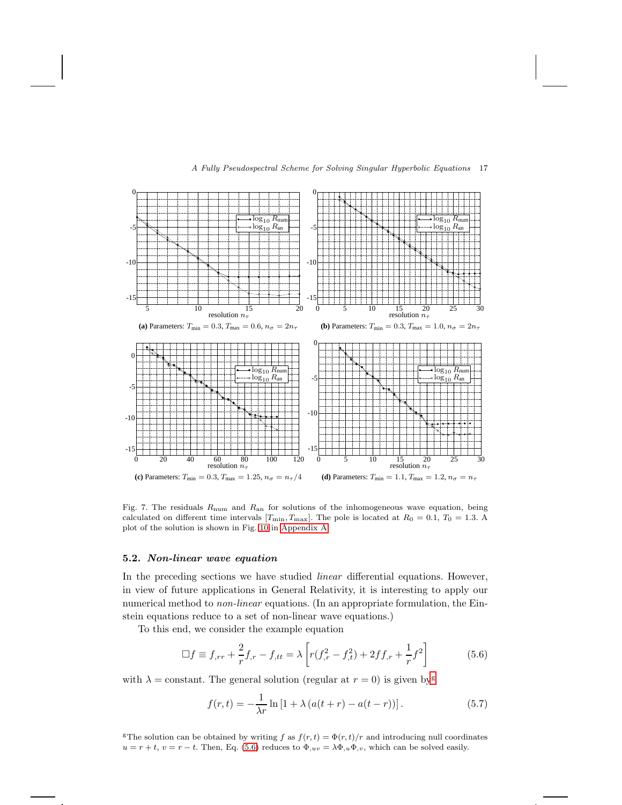

<span id="page-16-0"></span>Fig. 7. The residuals  $R_{\text{num}}$  and  $R_{\text{an}}$  for solutions of the inhomogeneous wave equation, being calculated on different time intervals  $[T_{\text{min}}, T_{\text{max}}]$ . The pole is located at  $R_0 = 0.1, T_0 = 1.3$ . A plot of the solution is shown in Fig. [10](#page-21-2) in [Appendix A.](#page-21-1)

### 5.2. Non-linear wave equation

In the preceding sections we have studied *linear* differential equations. However, in view of future applications in General Relativity, it is interesting to apply our numerical method to *non-linear* equations. (In an appropriate formulation, the Einstein equations reduce to a set of non-linear wave equations.)

To this end, we consider the example equation

<span id="page-16-2"></span>
$$
\Box f \equiv f_{,rr} + \frac{2}{r} f_{,r} - f_{,tt} = \lambda \left[ r(f_{,r}^2 - f_{,t}^2) + 2ff_{,r} + \frac{1}{r} f^2 \right] \tag{5.6}
$$

with  $\lambda =$  constant. The [g](#page-16-1)eneral solution (regular at  $r = 0$ ) is given by

$$
f(r,t) = -\frac{1}{\lambda r} \ln \left[ 1 + \lambda \left( a(t+r) - a(t-r) \right) \right].
$$
 (5.7)

<span id="page-16-1"></span><sup>g</sup>The solution can be obtained by writing f as  $f(r, t) = \Phi(r, t)/r$  and introducing null coordinates  $u = r + t$ ,  $v = r - t$ . Then, Eq. [\(5.6\)](#page-16-2) reduces to  $\Phi_{,uv} = \lambda \Phi_{,u} \Phi_{,v}$ , which can be solved easily.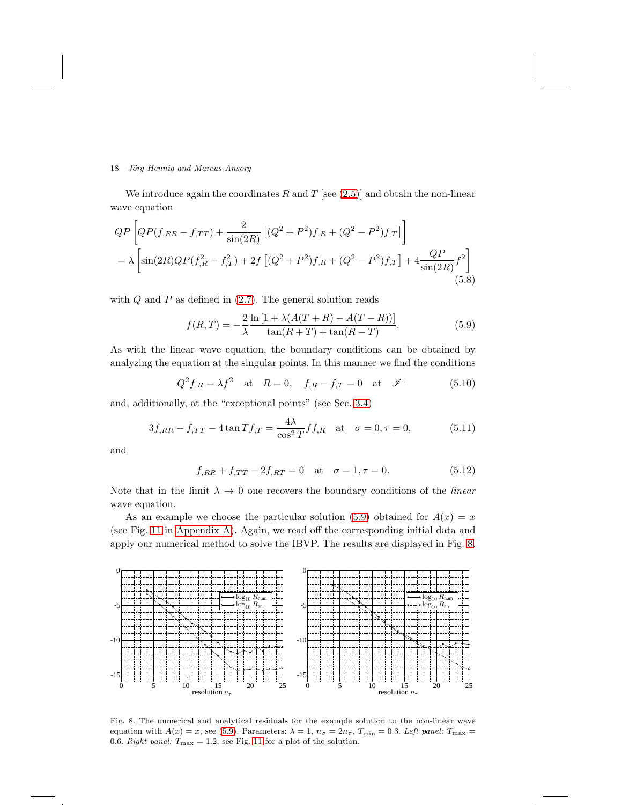We introduce again the coordinates R and T [see  $(2.5)$ ] and obtain the non-linear wave equation

$$
QP \left[ QP(f_{,RR} - f_{,TT}) + \frac{2}{\sin(2R)} \left[ (Q^2 + P^2)f_{,R} + (Q^2 - P^2)f_{,T} \right] \right]
$$
  
=  $\lambda \left[ \sin(2R)QP(f_{,R}^2 - f_{,T}^2) + 2f \left[ (Q^2 + P^2)f_{,R} + (Q^2 - P^2)f_{,T} \right] + 4 \frac{QP}{\sin(2R)} f^2 \right]$  (5.8)

with  $Q$  and  $P$  as defined in  $(2.7)$ . The general solution reads

<span id="page-17-0"></span>
$$
f(R,T) = -\frac{2}{\lambda} \frac{\ln\left[1 + \lambda(A(T+R) - A(T-R))\right]}{\tan(R+T) + \tan(R-T)}.
$$
\n(5.9)

As with the linear wave equation, the boundary conditions can be obtained by analyzing the equation at the singular points. In this manner we find the conditions

$$
Q^2 f_{,R} = \lambda f^2
$$
 at  $R = 0$ ,  $f_{,R} - f_{,T} = 0$  at  $\mathscr{I}^+$  (5.10)

and, additionally, at the "exceptional points" (see Sec. [3.4\)](#page-8-0)

$$
3f_{,RR} - f_{,TT} - 4\tan Tf_{,T} = \frac{4\lambda}{\cos^2 T} f_{,R} \quad \text{at} \quad \sigma = 0, \tau = 0,
$$
 (5.11)

and

$$
f_{,RR} + f_{,TT} - 2f_{,RT} = 0 \quad \text{at} \quad \sigma = 1, \tau = 0. \tag{5.12}
$$

Note that in the limit  $\lambda \to 0$  one recovers the boundary conditions of the *linear* wave equation.

As an example we choose the particular solution [\(5.9\)](#page-17-0) obtained for  $A(x) = x$ (see Fig. [11](#page-21-3) in [Appendix A\)](#page-21-1). Again, we read off the corresponding initial data and apply our numerical method to solve the IBVP. The results are displayed in Fig. [8.](#page-17-1)



<span id="page-17-1"></span>Fig. 8. The numerical and analytical residuals for the example solution to the non-linear wave equation with  $A(x) = x$ , see [\(5.9\)](#page-17-0). Parameters:  $\lambda = 1$ ,  $n_{\sigma} = 2n_{\tau}$ ,  $T_{\min} = 0.3$ . Left panel:  $T_{\max} =$ 0.6. Right panel:  $T_{\text{max}} = 1.2$ , see Fig. [11](#page-21-3) for a plot of the solution.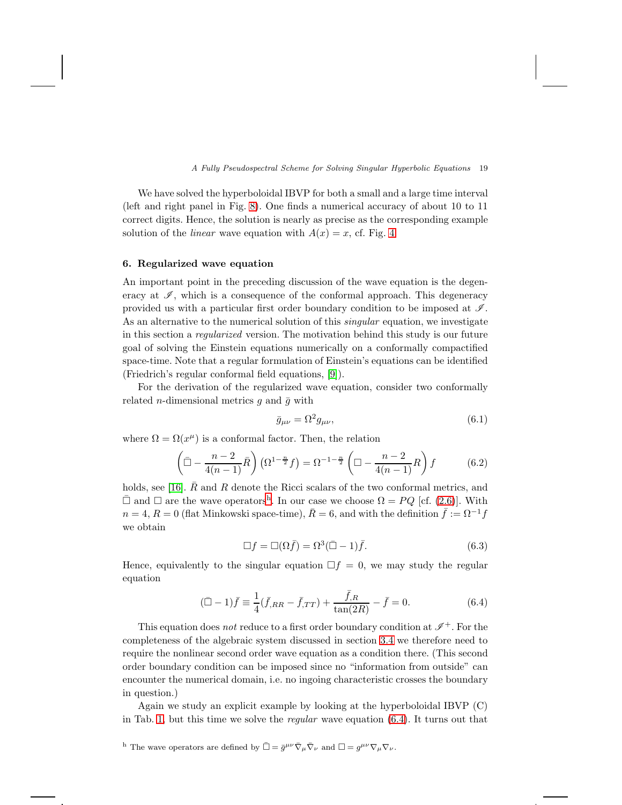We have solved the hyperboloidal IBVP for both a small and a large time interval (left and right panel in Fig. [8\)](#page-17-1). One finds a numerical accuracy of about 10 to 11 correct digits. Hence, the solution is nearly as precise as the corresponding example solution of the *linear* wave equation with  $A(x) = x$ , cf. Fig. [4.](#page-12-0)

# <span id="page-18-0"></span>6. Regularized wave equation

An important point in the preceding discussion of the wave equation is the degeneracy at  $\mathscr{I}$ , which is a consequence of the conformal approach. This degeneracy provided us with a particular first order boundary condition to be imposed at  $\mathscr{I}$ . As an alternative to the numerical solution of this *singular* equation, we investigate in this section a regularized version. The motivation behind this study is our future goal of solving the Einstein equations numerically on a conformally compactified space-time. Note that a regular formulation of Einstein's equations can be identified (Friedrich's regular conformal field equations, [\[9\]](#page-23-10)).

For the derivation of the regularized wave equation, consider two conformally related *n*-dimensional metrics  $g$  and  $\bar{g}$  with

$$
\bar{g}_{\mu\nu} = \Omega^2 g_{\mu\nu},\tag{6.1}
$$

where  $\Omega = \Omega(x^{\mu})$  is a conformal factor. Then, the relation

$$
\left(\bar{\square} - \frac{n-2}{4(n-1)}\bar{R}\right)\left(\Omega^{1-\frac{n}{2}}f\right) = \Omega^{-1-\frac{n}{2}}\left(\square - \frac{n-2}{4(n-1)}R\right)f\tag{6.2}
$$

holds, see [\[16\]](#page-23-16).  $\overline{R}$  and R denote the Ricci scalars of the two conformal metrics, and  $\bar{\Box}$  and  $\Box$  are t[h](#page-18-1)e wave operators<sup>h</sup>. In our case we choose  $\Omega = PQ$  [cf. [\(2.6\)](#page-2-5)]. With  $n = 4, R = 0$  (flat Minkowski space-time),  $\overline{R} = 6$ , and with the definition  $\overline{f} := \Omega^{-1}f$ we obtain

$$
\Box f = \Box(\Omega \bar{f}) = \Omega^3 (\bar{\Box} - 1) \bar{f}. \tag{6.3}
$$

Hence, equivalently to the singular equation  $\Box f = 0$ , we may study the regular equation

<span id="page-18-2"></span>
$$
(\bar{\Box} - 1)\bar{f} \equiv \frac{1}{4}(\bar{f}_{,RR} - \bar{f}_{,TT}) + \frac{\bar{f}_{,R}}{\tan(2R)} - \bar{f} = 0.
$$
\n(6.4)

This equation does not reduce to a first order boundary condition at  $\mathscr{I}^+$ . For the completeness of the algebraic system discussed in section [3.4](#page-8-0) we therefore need to require the nonlinear second order wave equation as a condition there. (This second order boundary condition can be imposed since no "information from outside" can encounter the numerical domain, i.e. no ingoing characteristic crosses the boundary in question.)

Again we study an explicit example by looking at the hyperboloidal IBVP (C) in Tab. [1,](#page-13-1) but this time we solve the regular wave equation [\(6.4\)](#page-18-2). It turns out that

<span id="page-18-1"></span><sup>&</sup>lt;sup>h</sup> The wave operators are defined by  $\bar{\Box} = \bar{g}^{\mu\nu} \bar{\nabla}_{\mu} \bar{\nabla}_{\nu}$  and  $\Box = g^{\mu\nu} \nabla_{\mu} \nabla_{\nu}$ .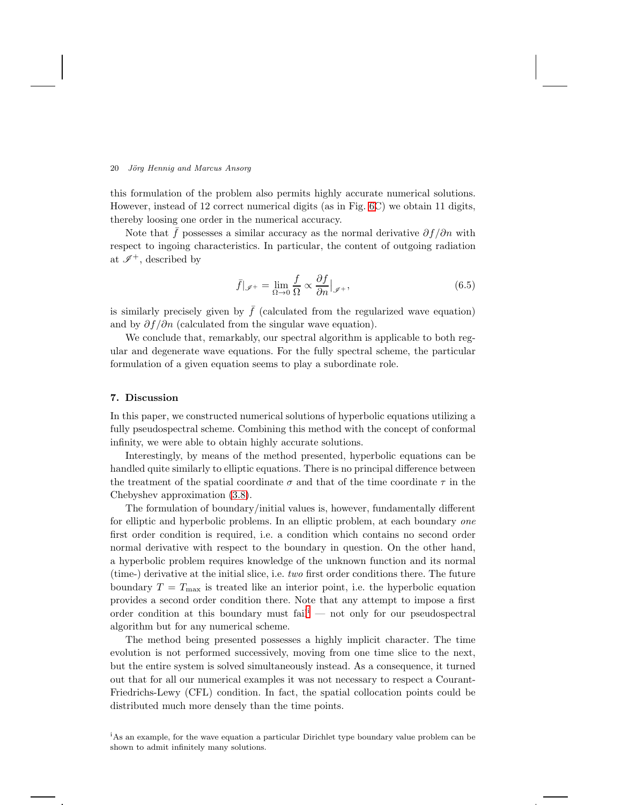this formulation of the problem also permits highly accurate numerical solutions. However, instead of 12 correct numerical digits (as in Fig. [6C](#page-14-0)) we obtain 11 digits, thereby loosing one order in the numerical accuracy.

Note that f possesses a similar accuracy as the normal derivative  $\partial f / \partial n$  with respect to ingoing characteristics. In particular, the content of outgoing radiation at  $\mathscr{I}^+$ , described by

$$
\bar{f}|_{\mathscr{I}^+} = \lim_{\Omega \to 0} \frac{f}{\Omega} \propto \frac{\partial f}{\partial n}|_{\mathscr{I}^+},\tag{6.5}
$$

is similarly precisely given by  $\bar{f}$  (calculated from the regularized wave equation) and by  $\partial f / \partial n$  (calculated from the singular wave equation).

We conclude that, remarkably, our spectral algorithm is applicable to both regular and degenerate wave equations. For the fully spectral scheme, the particular formulation of a given equation seems to play a subordinate role.

## <span id="page-19-0"></span>7. Discussion

In this paper, we constructed numerical solutions of hyperbolic equations utilizing a fully pseudospectral scheme. Combining this method with the concept of conformal infinity, we were able to obtain highly accurate solutions.

Interestingly, by means of the method presented, hyperbolic equations can be handled quite similarly to elliptic equations. There is no principal difference between the treatment of the spatial coordinate  $\sigma$  and that of the time coordinate  $\tau$  in the Chebyshev approximation [\(3.8\)](#page-8-1).

The formulation of boundary/initial values is, however, fundamentally different for elliptic and hyperbolic problems. In an elliptic problem, at each boundary one first order condition is required, i.e. a condition which contains no second order normal derivative with respect to the boundary in question. On the other hand, a hyperbolic problem requires knowledge of the unknown function and its normal (time-) derivative at the initial slice, i.e. two first order conditions there. The future boundary  $T = T_{\text{max}}$  is treated like an interior point, i.e. the hyperbolic equation provides a second order condition there. Note that any attempt to impose a first order cond[i](#page-19-1)tion at this boundary must fail<sup> $i$ </sup> — not only for our pseudospectral algorithm but for any numerical scheme.

The method being presented possesses a highly implicit character. The time evolution is not performed successively, moving from one time slice to the next, but the entire system is solved simultaneously instead. As a consequence, it turned out that for all our numerical examples it was not necessary to respect a Courant-Friedrichs-Lewy (CFL) condition. In fact, the spatial collocation points could be distributed much more densely than the time points.

<span id="page-19-1"></span><sup>i</sup>As an example, for the wave equation a particular Dirichlet type boundary value problem can be shown to admit infinitely many solutions.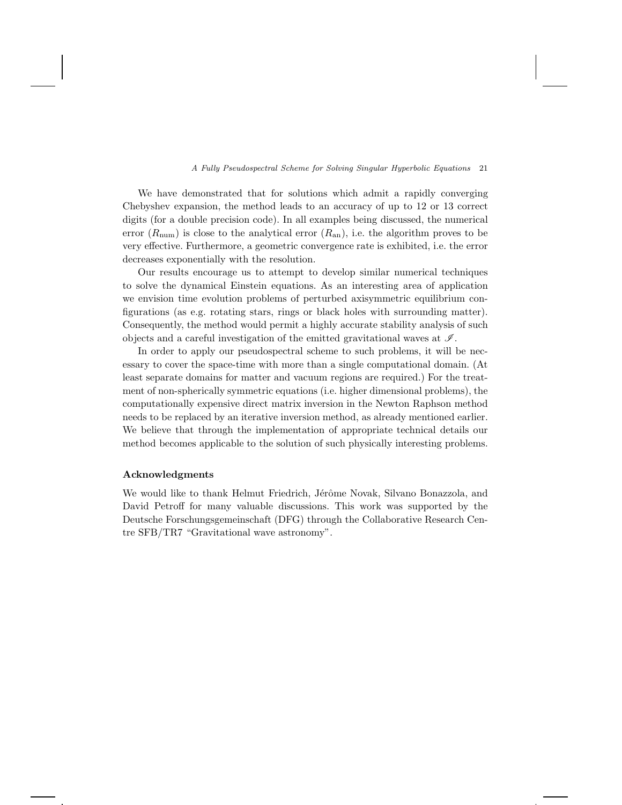We have demonstrated that for solutions which admit a rapidly converging Chebyshev expansion, the method leads to an accuracy of up to 12 or 13 correct digits (for a double precision code). In all examples being discussed, the numerical error  $(R_{num})$  is close to the analytical error  $(R_{an})$ , i.e. the algorithm proves to be very effective. Furthermore, a geometric convergence rate is exhibited, i.e. the error decreases exponentially with the resolution.

Our results encourage us to attempt to develop similar numerical techniques to solve the dynamical Einstein equations. As an interesting area of application we envision time evolution problems of perturbed axisymmetric equilibrium configurations (as e.g. rotating stars, rings or black holes with surrounding matter). Consequently, the method would permit a highly accurate stability analysis of such objects and a careful investigation of the emitted gravitational waves at  $\mathscr{I}$ .

In order to apply our pseudospectral scheme to such problems, it will be necessary to cover the space-time with more than a single computational domain. (At least separate domains for matter and vacuum regions are required.) For the treatment of non-spherically symmetric equations (i.e. higher dimensional problems), the computationally expensive direct matrix inversion in the Newton Raphson method needs to be replaced by an iterative inversion method, as already mentioned earlier. We believe that through the implementation of appropriate technical details our method becomes applicable to the solution of such physically interesting problems.

## Acknowledgments

We would like to thank Helmut Friedrich, Jérôme Novak, Silvano Bonazzola, and David Petroff for many valuable discussions. This work was supported by the Deutsche Forschungsgemeinschaft (DFG) through the Collaborative Research Centre SFB/TR7 "Gravitational wave astronomy".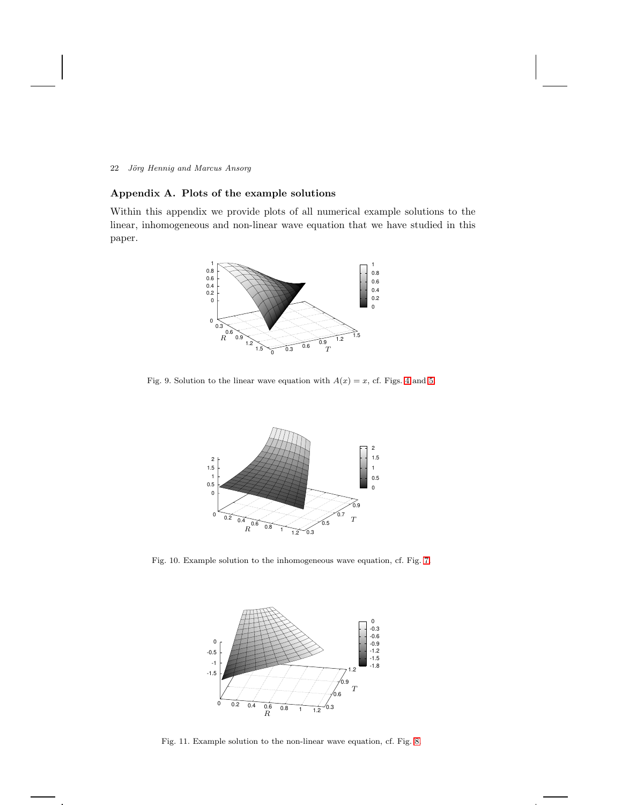# <span id="page-21-1"></span>Appendix A. Plots of the example solutions

Within this appendix we provide plots of all numerical example solutions to the linear, inhomogeneous and non-linear wave equation that we have studied in this paper.



PSfrag replacements

<span id="page-21-0"></span>Fig. 9. Solution to the linear wave equation with  $A(x) = x$ , cf. Figs. [4](#page-12-0) and [5.](#page-12-1)



<span id="page-21-2"></span>Fig. 10. Example solution to the inhomogeneous wave equation, cf. Fig. [7.](#page-16-0)





<span id="page-21-3"></span>Fig. 11. Example solution to the non-linear wave equation, cf. Fig. [8.](#page-17-1)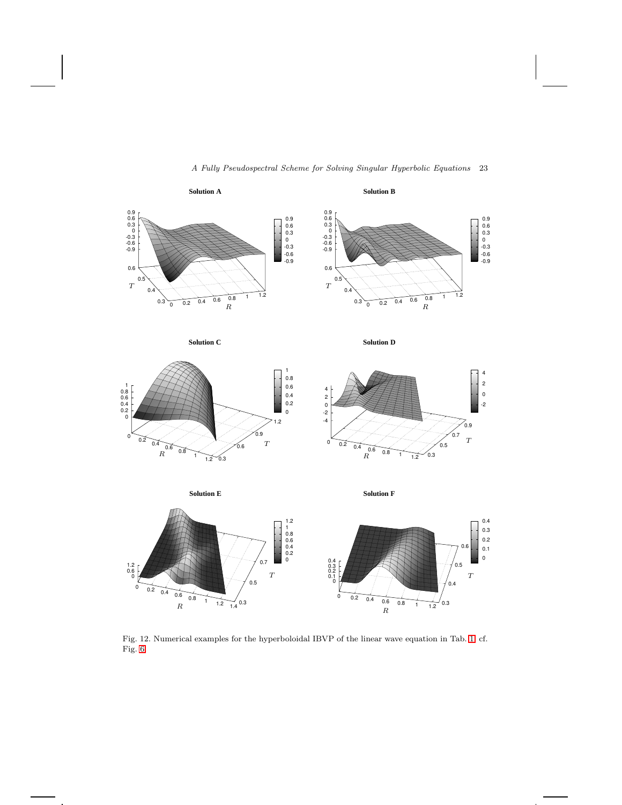

 $\frac{1}{1.4}$  0.3

R

# A Fully Pseudospectral Scheme for Solving Singular Hyperbolic Equations 23

PSfrag replacements

<span id="page-22-0"></span>Fig. 12. Numerical examples for the hyperboloidal IBVP of the linear wave equation in Tab. [1,](#page-13-1) cf. Fig. [6.](#page-14-0)

 $0 \t 0.2 \t 0.4 \t 0.6 \t 0.8 \t 1 \t 1.2 \t 0.3$ 

R